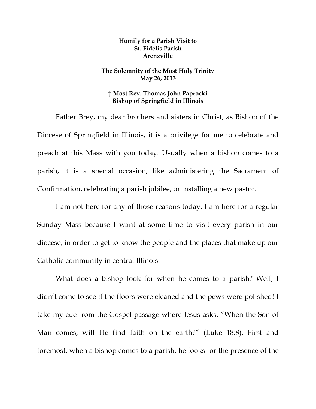## **Homily for a Parish Visit to St. Fidelis Parish Arenzville**

## **The Solemnity of the Most Holy Trinity May 26, 2013**

## **† Most Rev. Thomas John Paprocki Bishop of Springfield in Illinois**

Father Brey, my dear brothers and sisters in Christ, as Bishop of the Diocese of Springfield in Illinois, it is a privilege for me to celebrate and preach at this Mass with you today. Usually when a bishop comes to a parish, it is a special occasion, like administering the Sacrament of Confirmation, celebrating a parish jubilee, or installing a new pastor.

I am not here for any of those reasons today. I am here for a regular Sunday Mass because I want at some time to visit every parish in our diocese, in order to get to know the people and the places that make up our Catholic community in central Illinois.

What does a bishop look for when he comes to a parish? Well, I didn't come to see if the floors were cleaned and the pews were polished! I take my cue from the Gospel passage where Jesus asks, "When the Son of Man comes, will He find faith on the earth?" (Luke 18:8). First and foremost, when a bishop comes to a parish, he looks for the presence of the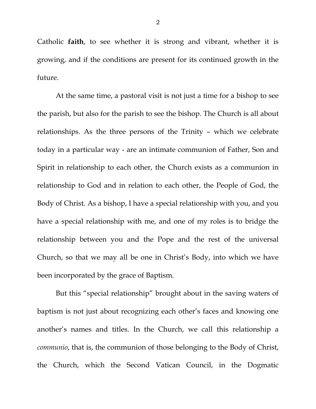Catholic **faith**, to see whether it is strong and vibrant, whether it is growing, and if the conditions are present for its continued growth in the future.

At the same time, a pastoral visit is not just a time for a bishop to see the parish, but also for the parish to see the bishop. The Church is all about relationships. As the three persons of the Trinity – which we celebrate today in a particular way - are an intimate communion of Father, Son and Spirit in relationship to each other, the Church exists as a communion in relationship to God and in relation to each other, the People of God, the Body of Christ. As a bishop, I have a special relationship with you, and you have a special relationship with me, and one of my roles is to bridge the relationship between you and the Pope and the rest of the universal Church, so that we may all be one in Christ's Body, into which we have been incorporated by the grace of Baptism.

But this "special relationship" brought about in the saving waters of baptism is not just about recognizing each other's faces and knowing one another's names and titles. In the Church, we call this relationship a *communio*, that is, the communion of those belonging to the Body of Christ, the Church, which the Second Vatican Council, in the Dogmatic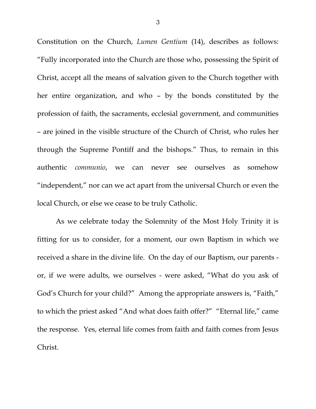Constitution on the Church, *Lumen Gentium* (14), describes as follows: "Fully incorporated into the Church are those who, possessing the Spirit of Christ, accept all the means of salvation given to the Church together with her entire organization, and who – by the bonds constituted by the profession of faith, the sacraments, ecclesial government, and communities – are joined in the visible structure of the Church of Christ, who rules her through the Supreme Pontiff and the bishops." Thus, to remain in this authentic *communio*, we can never see ourselves as somehow "independent," nor can we act apart from the universal Church or even the local Church, or else we cease to be truly Catholic.

 As we celebrate today the Solemnity of the Most Holy Trinity it is fitting for us to consider, for a moment, our own Baptism in which we received a share in the divine life. On the day of our Baptism, our parents or, if we were adults, we ourselves - were asked, "What do you ask of God's Church for your child?" Among the appropriate answers is, "Faith," to which the priest asked "And what does faith offer?" "Eternal life," came the response. Yes, eternal life comes from faith and faith comes from Jesus Christ.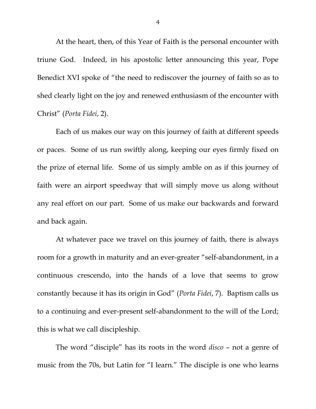At the heart, then, of this Year of Faith is the personal encounter with triune God. Indeed, in his apostolic letter announcing this year, Pope Benedict XVI spoke of "the need to rediscover the journey of faith so as to shed clearly light on the joy and renewed enthusiasm of the encounter with Christ" (*Porta Fidei*, 2).

 Each of us makes our way on this journey of faith at different speeds or paces. Some of us run swiftly along, keeping our eyes firmly fixed on the prize of eternal life. Some of us simply amble on as if this journey of faith were an airport speedway that will simply move us along without any real effort on our part. Some of us make our backwards and forward and back again.

 At whatever pace we travel on this journey of faith, there is always room for a growth in maturity and an ever-greater "self-abandonment, in a continuous crescendo, into the hands of a love that seems to grow constantly because it has its origin in God" (*Porta Fidei*, 7). Baptism calls us to a continuing and ever-present self-abandonment to the will of the Lord; this is what we call discipleship.

The word "disciple" has its roots in the word *disco* – not a genre of music from the 70s, but Latin for "I learn." The disciple is one who learns

4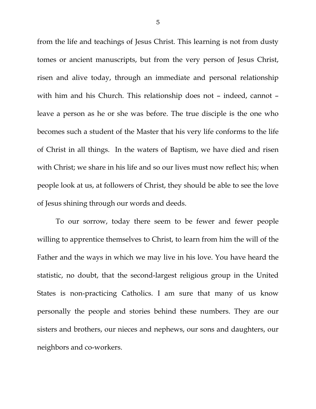from the life and teachings of Jesus Christ. This learning is not from dusty tomes or ancient manuscripts, but from the very person of Jesus Christ, risen and alive today, through an immediate and personal relationship with him and his Church. This relationship does not – indeed, cannot – leave a person as he or she was before. The true disciple is the one who becomes such a student of the Master that his very life conforms to the life of Christ in all things. In the waters of Baptism, we have died and risen with Christ; we share in his life and so our lives must now reflect his; when people look at us, at followers of Christ, they should be able to see the love of Jesus shining through our words and deeds.

To our sorrow, today there seem to be fewer and fewer people willing to apprentice themselves to Christ, to learn from him the will of the Father and the ways in which we may live in his love. You have heard the statistic, no doubt, that the second-largest religious group in the United States is non-practicing Catholics. I am sure that many of us know personally the people and stories behind these numbers. They are our sisters and brothers, our nieces and nephews, our sons and daughters, our neighbors and co-workers.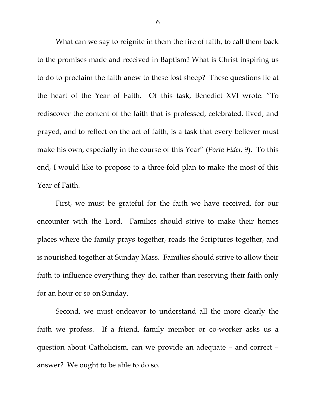What can we say to reignite in them the fire of faith, to call them back to the promises made and received in Baptism? What is Christ inspiring us to do to proclaim the faith anew to these lost sheep? These questions lie at the heart of the Year of Faith. Of this task, Benedict XVI wrote: "To rediscover the content of the faith that is professed, celebrated, lived, and prayed, and to reflect on the act of faith, is a task that every believer must make his own, especially in the course of this Year" (*Porta Fidei*, 9). To this end, I would like to propose to a three-fold plan to make the most of this Year of Faith.

 First, we must be grateful for the faith we have received, for our encounter with the Lord. Families should strive to make their homes places where the family prays together, reads the Scriptures together, and is nourished together at Sunday Mass. Families should strive to allow their faith to influence everything they do, rather than reserving their faith only for an hour or so on Sunday.

 Second, we must endeavor to understand all the more clearly the faith we profess. If a friend, family member or co-worker asks us a question about Catholicism, can we provide an adequate – and correct – answer? We ought to be able to do so.